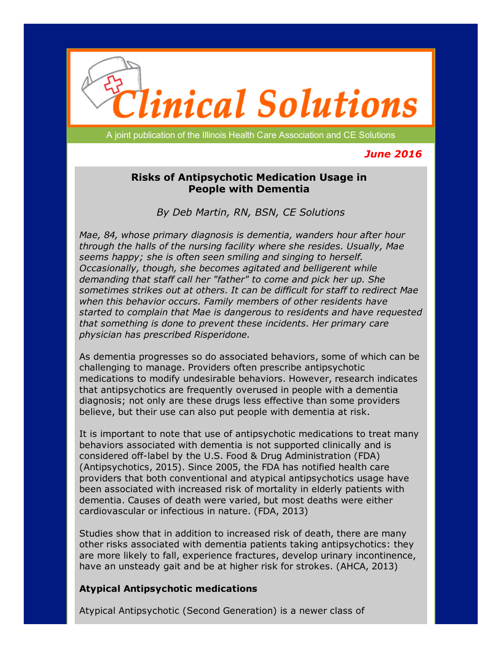

A joint publication of the Illinois Health Care Association and CE Solutions

# *June 2016*

## Risks of Antipsychotic Medication Usage in People with Dementia

*By Deb Martin, RN, BSN, CE Solutions*

*Mae, 84, whose primary diagnosis is dementia, wanders hour after hour through the halls of the nursing facility where she resides. Usually, Mae seems happy; she is often seen smiling and singing to herself. Occasionally, though, she becomes agitated and belligerent while demanding that staff call her "father" to come and pick her up. She sometimes strikes out at others. It can be difficult for staff to redirect Mae when this behavior occurs. Family members of other residents have started to complain that Mae is dangerous to residents and have requested that something is done to prevent these incidents. Her primary care physician has prescribed Risperidone.*

As dementia progresses so do associated behaviors, some of which can be challenging to manage. Providers often prescribe antipsychotic medications to modify undesirable behaviors. However, research indicates that antipsychotics are frequently overused in people with a dementia diagnosis; not only are these drugs less effective than some providers believe, but their use can also put people with dementia at risk.

It is important to note that use of antipsychotic medications to treat many behaviors associated with dementia is not supported clinically and is considered off-label by the U.S. Food & Drug Administration (FDA) (Antipsychotics, 2015). Since 2005, the FDA has notified health care providers that both conventional and atypical antipsychotics usage have been associated with increased risk of mortality in elderly patients with dementia. Causes of death were varied, but most deaths were either cardiovascular or infectious in nature. (FDA, 2013)

Studies show that in addition to increased risk of death, there are many other risks associated with dementia patients taking antipsychotics: they are more likely to fall, experience fractures, develop urinary incontinence, have an unsteady gait and be at higher risk for strokes. (AHCA, 2013)

### Atypical Antipsychotic medications

Atypical Antipsychotic (Second Generation) is a newer class of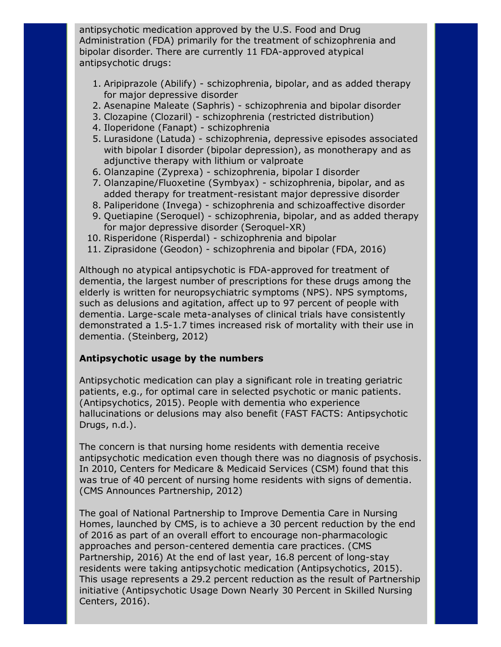antipsychotic medication approved by the U.S. Food and Drug Administration (FDA) primarily for the treatment of schizophrenia and bipolar disorder. There are currently 11 FDA-approved atypical antipsychotic drugs:

- 1. Aripiprazole (Abilify) schizophrenia, bipolar, and as added therapy for major depressive disorder
- 2. Asenapine Maleate (Saphris) schizophrenia and bipolar disorder
- 3. Clozapine (Clozaril) schizophrenia (restricted distribution)
- 4. Iloperidone (Fanapt) schizophrenia
- 5. Lurasidone (Latuda) schizophrenia, depressive episodes associated with bipolar I disorder (bipolar depression), as monotherapy and as adjunctive therapy with lithium or valproate
- 6. Olanzapine (Zyprexa) schizophrenia, bipolar I disorder
- 7. Olanzapine/Fluoxetine (Symbyax) schizophrenia, bipolar, and as added therapy for treatment-resistant major depressive disorder
- 8. Paliperidone (Invega) schizophrenia and schizoaffective disorder
- 9. Quetiapine (Seroquel) schizophrenia, bipolar, and as added therapy for major depressive disorder (Seroquel-XR)
- 10. Risperidone (Risperdal) schizophrenia and bipolar
- 11. Ziprasidone (Geodon) schizophrenia and bipolar (FDA, 2016)

Although no atypical antipsychotic is FDA-approved for treatment of dementia, the largest number of prescriptions for these drugs among the elderly is written for neuropsychiatric symptoms (NPS). NPS symptoms, such as delusions and agitation, affect up to 97 percent of people with dementia. Large-scale meta-analyses of clinical trials have consistently demonstrated a 1.51.7 times increased risk of mortality with their use in dementia. (Steinberg, 2012)

## Antipsychotic usage by the numbers

Antipsychotic medication can play a significant role in treating geriatric patients, e.g., for optimal care in selected psychotic or manic patients. (Antipsychotics, 2015). People with dementia who experience hallucinations or delusions may also benefit (FAST FACTS: Antipsychotic Drugs, n.d.).

The concern is that nursing home residents with dementia receive antipsychotic medication even though there was no diagnosis of psychosis. In 2010, Centers for Medicare & Medicaid Services (CSM) found that this was true of 40 percent of nursing home residents with signs of dementia. (CMS Announces Partnership, 2012)

The goal of National Partnership to Improve Dementia Care in Nursing Homes, launched by CMS, is to achieve a 30 percent reduction by the end of 2016 as part of an overall effort to encourage non-pharmacologic approaches and person-centered dementia care practices. (CMS Partnership, 2016) At the end of last year, 16.8 percent of long-stay residents were taking antipsychotic medication (Antipsychotics, 2015). This usage represents a 29.2 percent reduction as the result of Partnership initiative (Antipsychotic Usage Down Nearly 30 Percent in Skilled Nursing Centers, 2016).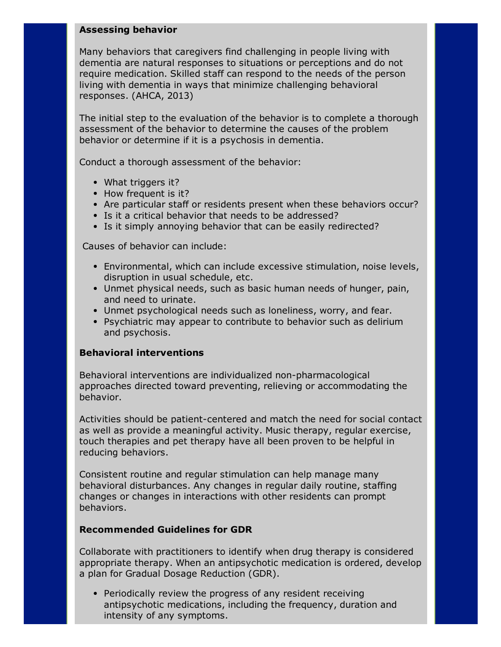#### Assessing behavior

Many behaviors that caregivers find challenging in people living with dementia are natural responses to situations or perceptions and do not require medication. Skilled staff can respond to the needs of the person living with dementia in ways that minimize challenging behavioral responses. (AHCA, 2013)

The initial step to the evaluation of the behavior is to complete a thorough assessment of the behavior to determine the causes of the problem behavior or determine if it is a psychosis in dementia.

Conduct a thorough assessment of the behavior:

- What triggers it?
- How frequent is it?
- Are particular staff or residents present when these behaviors occur?
- Is it a critical behavior that needs to be addressed?
- Is it simply annoying behavior that can be easily redirected?

Causes of behavior can include:

- Environmental, which can include excessive stimulation, noise levels, disruption in usual schedule, etc.
- Unmet physical needs, such as basic human needs of hunger, pain, and need to urinate.
- Unmet psychological needs such as loneliness, worry, and fear.
- Psychiatric may appear to contribute to behavior such as delirium and psychosis.

### Behavioral interventions

Behavioral interventions are individualized non-pharmacological approaches directed toward preventing, relieving or accommodating the behavior.

Activities should be patient-centered and match the need for social contact as well as provide a meaningful activity. Music therapy, regular exercise, touch therapies and pet therapy have all been proven to be helpful in reducing behaviors.

Consistent routine and regular stimulation can help manage many behavioral disturbances. Any changes in regular daily routine, staffing changes or changes in interactions with other residents can prompt behaviors.

#### Recommended Guidelines for GDR

Collaborate with practitioners to identify when drug therapy is considered appropriate therapy. When an antipsychotic medication is ordered, develop a plan for Gradual Dosage Reduction (GDR).

Periodically review the progress of any resident receiving antipsychotic medications, including the frequency, duration and intensity of any symptoms.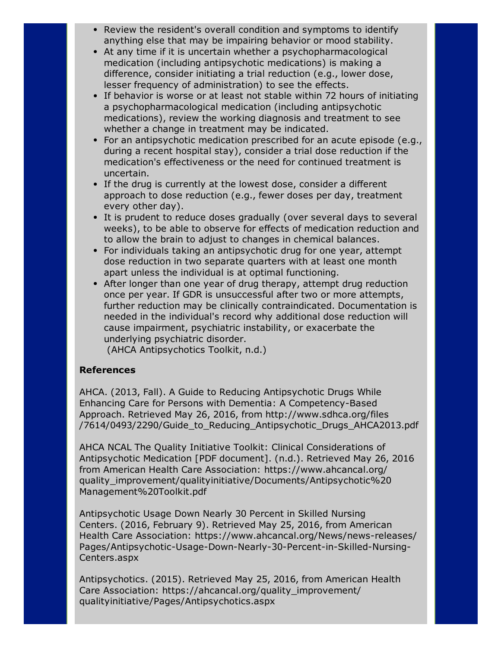- Review the resident's overall condition and symptoms to identify anything else that may be impairing behavior or mood stability.
- At any time if it is uncertain whether a psychopharmacological medication (including antipsychotic medications) is making a difference, consider initiating a trial reduction (e.g., lower dose, lesser frequency of administration) to see the effects.
- If behavior is worse or at least not stable within 72 hours of initiating a psychopharmacological medication (including antipsychotic medications), review the working diagnosis and treatment to see whether a change in treatment may be indicated.
- For an antipsychotic medication prescribed for an acute episode (e.g., during a recent hospital stay), consider a trial dose reduction if the medication's effectiveness or the need for continued treatment is uncertain.
- If the drug is currently at the lowest dose, consider a different approach to dose reduction (e.g., fewer doses per day, treatment every other day).
- It is prudent to reduce doses gradually (over several days to several weeks), to be able to observe for effects of medication reduction and to allow the brain to adjust to changes in chemical balances.
- For individuals taking an antipsychotic drug for one year, attempt dose reduction in two separate quarters with at least one month apart unless the individual is at optimal functioning.
- After longer than one year of drug therapy, attempt drug reduction once per year. If GDR is unsuccessful after two or more attempts, further reduction may be clinically contraindicated. Documentation is needed in the individual's record why additional dose reduction will cause impairment, psychiatric instability, or exacerbate the underlying psychiatric disorder.

(AHCA Antipsychotics Toolkit, n.d.)

### References

AHCA. (2013, Fall). A Guide to Reducing Antipsychotic Drugs While Enhancing Care for Persons with Dementia: A Competency-Based Approach. Retrieved May 26, 2016, from http://www.sdhca.org/files /7614/0493/2290/Guide\_to\_Reducing\_Antipsychotic\_Drugs\_AHCA2013.pdf

AHCA NCAL The Quality Initiative Toolkit: Clinical Considerations of Antipsychotic Medication [PDF document]. (n.d.). Retrieved May 26, 2016 from American Health Care Association: https://www.ahcancal.org/ quality\_improvement/qualityinitiative/Documents/Antipsychotic%20 Management%20Toolkit.pdf

Antipsychotic Usage Down Nearly 30 Percent in Skilled Nursing Centers. (2016, February 9). Retrieved May 25, 2016, from American Health Care Association: https://www.ahcancal.org/News/news-releases/ Pages/Antipsychotic-Usage-Down-Nearly-30-Percent-in-Skilled-Nursing-Centers.aspx

Antipsychotics. (2015). Retrieved May 25, 2016, from American Health Care Association: [https://ahcancal.org/quality\\_improvement/](https://ahcancal.org/quality_improvement/) qualityinitiative/Pages/Antipsychotics.aspx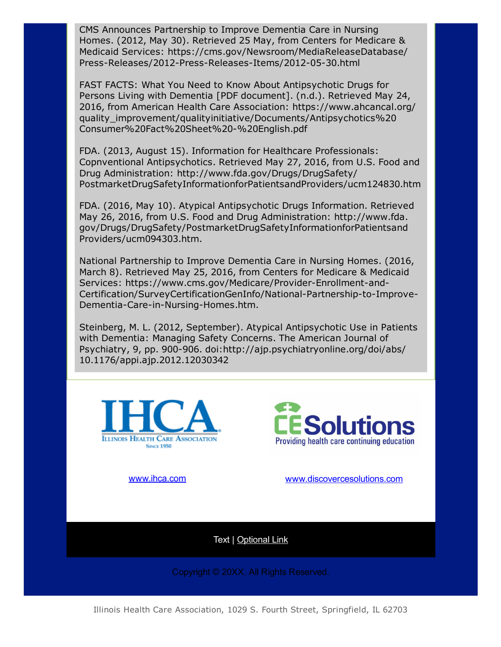CMS Announces Partnership to Improve Dementia Care in Nursing Homes. (2012, May 30). Retrieved 25 May, from Centers for Medicare & Medicaid Services: [https://cms.gov/Newsroom/MediaR](https://cms.gov/Newsroom/Media)eleaseDatabase/ Press-Releases/2012-Press-Releases-Items/2012-05-30.html

FAST FACTS: What You Need to Know About Antipsychotic Drugs for Persons Living with Dementia [PDF document]. (n.d.). Retrieved May 24, 2016, from American Health Care Association: [https://www.ahcan](https://www.ahca/)cal.org/ quality\_improvement/qualityinitiative/Documents/Antipsychotics%20 Consumer%20Fact%20Sheet%20%20English.pdf

FDA. (2013, August 15). Information for Healthcare Professionals: Copnventional Antipsychotics. Retrieved May 27, 2016, from U.S. Food and Drug Administration: [http://www.fda.gov/Drugs/DrugS](http://www.fda.gov/Drugs/Drug)afety/ PostmarketDrugSafetyInformationforPatientsandProviders/ucm124830.htm

FDA. (2016, May 10). Atypical Antipsychotic Drugs Information. Retrieved May 26, 2016, from U.S. Food and Drug Administration: [http://www.fda.](http://www.fda./) gov/Drugs/DrugSafety/PostmarketDrugSafetyInformationforPatientsand Providers/ucm094303.htm.

National Partnership to Improve Dementia Care in Nursing Homes. (2016, March 8). Retrieved May 25, 2016, from Centers for Medicare & Medicaid Services: https://www.cms.gov/Medicare/Provider-Enrollment-and-Certification/SurveyCertificationGenInfo/National-Partnership-to-Improve-Dementia-Care-in-Nursing-Homes.htm.

Steinberg, M. L. (2012, September). Atypical Antipsychotic Use in Patients with Dementia: Managing Safety Concerns. The American Journal of Psychiatry, 9, pp. 900-906. doi:http://ajp.psychiatryonline.org/doi/abs/ 10.1176/appi.ajp.2012.12030342





[www.ihca.com](http://www.ihca.com/) [www.discovercesolutions.com](http://www.discovercesolutions.com/)

Text | [Optional](http://www.ihca.com/) Link

Copyright © 20XX. All Rights Reserved.